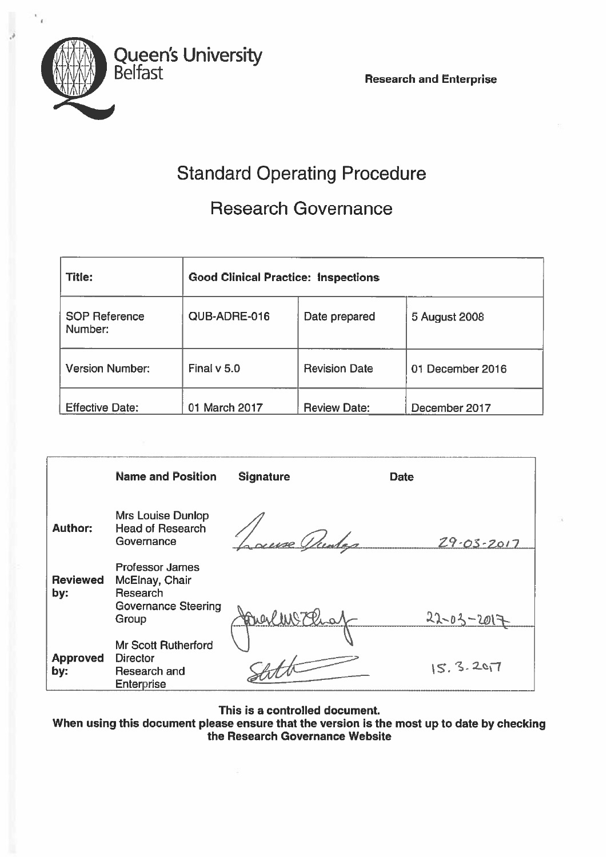

# Standard Operating Procedure

## Research Governance

| <b>Title:</b>                   | <b>Good Clinical Practice: Inspections</b> |                      |                  |  |
|---------------------------------|--------------------------------------------|----------------------|------------------|--|
| <b>SOP Reference</b><br>Number: | QUB-ADRE-016                               | Date prepared        | 5 August 2008    |  |
| <b>Version Number:</b>          | Final $v$ 5.0                              | <b>Revision Date</b> | 01 December 2016 |  |
| <b>Effective Date:</b>          | 01 March 2017                              | <b>Review Date:</b>  | December 2017    |  |

|                        | <b>Name and Position</b>                                                                    | <b>Signature</b> | <b>Date</b>       |
|------------------------|---------------------------------------------------------------------------------------------|------------------|-------------------|
| <b>Author:</b>         | Mrs Louise Dunlop<br><b>Head of Research</b><br>Governance                                  | auxe Under       | $29.03 - 2017$    |
| <b>Reviewed</b><br>by: | <b>Professor James</b><br>McElnay, Chair<br>Research<br><b>Governance Steering</b><br>Group | Digillis 7 Pro   | $22 - 03 - 201$ = |
| <b>Approved</b><br>by: | <b>Mr Scott Rutherford</b><br><b>Director</b><br>Research and<br><b>Enterprise</b>          |                  | 15.3.207          |

This is <sup>a</sup> controlled document.

When using this document please ensure that the version is the most up to date by checkingthe Research Governance Website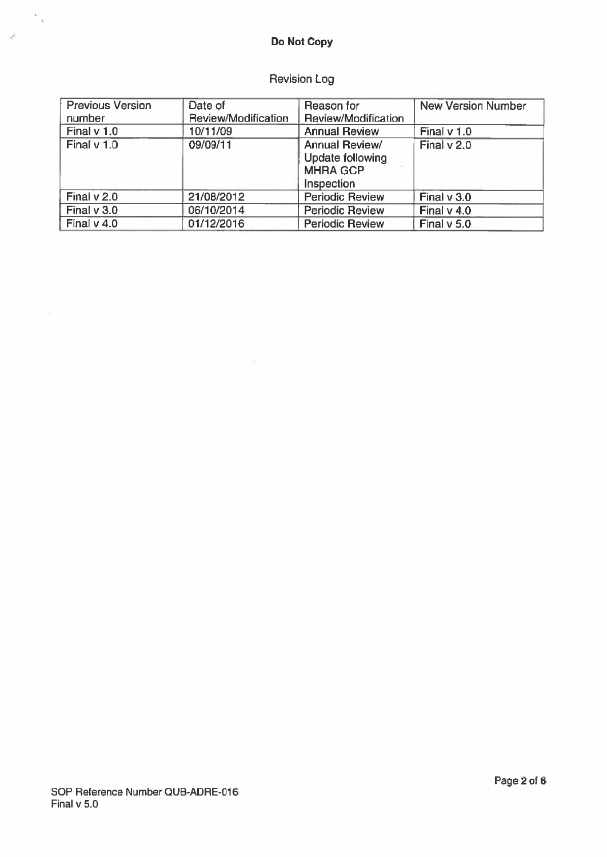### Revision Log

| <b>Previous Version</b><br>number | Date of<br>Review/Modification | Reason for<br>Review/Modification                                          | <b>New Version Number</b> |
|-----------------------------------|--------------------------------|----------------------------------------------------------------------------|---------------------------|
| Final $v$ 1.0                     | 10/11/09                       | <b>Annual Review</b>                                                       | Final $v$ 1.0             |
| Final v 1.0                       | 09/09/11                       | <b>Annual Review/</b><br>Update following<br><b>MHRA GCP</b><br>Inspection | Final v 2.0               |
| Final $v$ 2.0                     | 21/08/2012                     | <b>Periodic Review</b>                                                     | Final v 3.0               |
| Final $v$ 3.0                     | 06/10/2014                     | <b>Periodic Review</b>                                                     | Final $v$ 4.0             |
| Final $v$ 4.0                     | 01/12/2016                     | <b>Periodic Review</b>                                                     | Final $v$ 5.0             |

 $\mathcal{H}$ 

 $\sim$   $\sim$ 

 $\mathcal{A}^{\mathcal{L}}$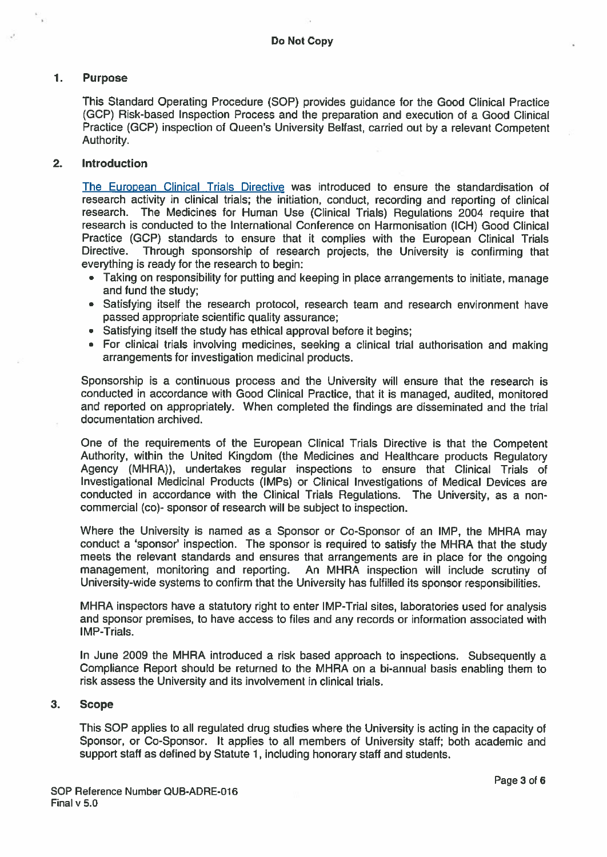#### Purpose  $\mathbf{1}$ .

This Standard Operating Procedure (SOP) provides guidance for the Good Clinical Practice (GCP) Risk-based Inspection Process and the preparation and execution of <sup>a</sup> Good Clinical Practice (GCP) inspection of Queen's University Belfast, carried out by <sup>a</sup> relevant Competent Authority.

#### 2. Introduction

The European Clinical Trials Directive was introduced to ensure the standardisation of research activity in clinical trials; the initiation, conduct, recording and reporting of clinical research. The Medicines for Human Use (Clinical Trials) Regulations 2004 require that research is conducted to the International Conference on Harmonisation (ICH) Good Clinical Practice (GCP) standards to ensure that it complies with the European Clinical Trials Directive. Through sponsorship of research projects, the University is confirming that everything is ready for the research to begin:

- Taking on responsibility for putting and keeping in <sup>p</sup>lace arrangements to initiate, manage and fund the study;
- Satisfying itself the research protocol, research team and research environment have passed appropriate scientific quality assurance;
- Satisfying itself the study has ethical approval before it begins;
- For clinical trials involving medicines, seeking <sup>a</sup> clinical trial authorisation and making arrangements for investigation medicinal products.

Sponsorship is <sup>a</sup> continuous process and the University will ensure that the research is conducted in accordance with Good Clinical Practice, that it is managed, audited, monitored and reported on appropriately. When completed the findings are disseminated and the trial documentation archived.

One of the requirements of the European Clinical Trials Directive is that the Competent Authority, within the United Kingdom (the Medicines and Healthcare products Regulatory Agency (MHRA)), undertakes regular inspections to ensure that Clinical Trials of Investigational Medicinal Products (IMPs) or Clinical Investigations of Medical Devices are conducted in accordance with the Clinical Trials Regulations. The University, as <sup>a</sup> non commercial (co)- sponsor of research will be subject to inspection.

Where the University is named as <sup>a</sup> Sponsor or Co-Sponsor of an IMP, the MHRA may conduct <sup>a</sup> 'sponsor' inspection. The sponsor is required to satisfy the MHRA that the study meets the relevant standards and ensures that arrangements are in place for the ongoing management, monitoring and reporting. An MHRA inspection will include scrutiny of University-wide systems to confirm that the University has fulfilled its sponsor responsibilities.

MHRA inspectors have <sup>a</sup> statutory right to enter IMP-Trial sites, laboratories used for analysis and sponsor premises, to have access to files and any records or information associated with IMP-Trials.

In June 2009 the MHRA introduced <sup>a</sup> risk based approac<sup>h</sup> to inspections. Subsequently <sup>a</sup> Compliance Report should be returned to the MHRA on <sup>a</sup> bi-annual basis enabling them to risk assess the University and its involvement in clinical trials.

#### 3. Scope

This SOP applies to all regulated drug studies where the University is acting in the capacity of Sponsor, or Co-Sponsor. It applies to all members of University staff; both academic and suppor<sup>t</sup> staff as defined by Statute 1, including honorary staff and students.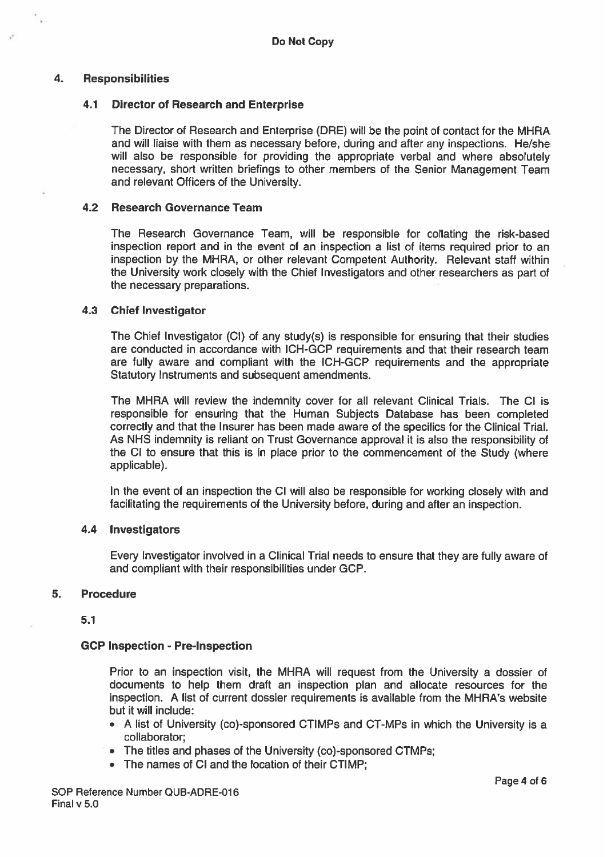#### 4. Responsibilities

#### 4.1 Director of Research and Enterprise

The Director of Research and Enterprise (DRE) will be the point of contact for the MHRA and will liaise with them as necessary before, during and after any inspections. He/she will also be responsible for providing the appropriate verbal and where absolutely necessary, short written briefings to other members of the Senior Management Team and relevant Officers of the University.

#### 4.2 Research Governance Team

The Research Governance Team, will be responsible for collating the risk-based inspection repor<sup>t</sup> and in the event of an inspection <sup>a</sup> list of items required prior to an inspection by the MHRA, or other relevant Competent Authority. Relevant staff within the University work closely with the Chief Investigators and other researchers as par<sup>t</sup> of the necessary preparations.

#### 4.3 Chief Investigator

The Chief Investigator (CI) of any study(s) is responsible for ensuring that their studies are conducted in accordance with ICH-GCP requirements and that their research team are fully aware and compliant with the ICH-GCP requirements and the appropriate Statutory Instruments and subsequent amendments.

The MHRA will review the indemnity cover for all relevant Clinical Trials. The Cl is responsible for ensuring that the Human Subjects Database has been completed correctly and that the Insurer has been made aware of the specifics for the Clinical Trial. As NHS indemnity is reliant on Trust Governance approval it is also the responsibility of the CI to ensure that this is in <sup>p</sup>lace prior to the commencement of the Study (where applicable).

In the event of an inspection the Cl will also be responsible for working closely with and facilitating the requirements of the University before, during and after an inspection.

#### 4.4 Investigators

Every Investigator involved in <sup>a</sup> Clinical Trial needs to ensure that they are fully aware of and compliant with their responsibilities under GCP.

#### 5. Procedure

5.1

#### GCP Inspection - Pre-lnspection

Prior to an inspection visit, the MHRA will reques<sup>t</sup> from the University <sup>a</sup> dossier of documents to help them draft an inspection plan and allocate resources for the inspection. A list of current dossier requirements is available from the MHRA's website but it will include:

- A list of University (co)-sponsored CTIMPs and CT-MPs in which the University is <sup>a</sup> collaborator;
- The titles and phases of the University (co)-sponsored CTMPs;
- The names of Cl and the location of their CTIMP;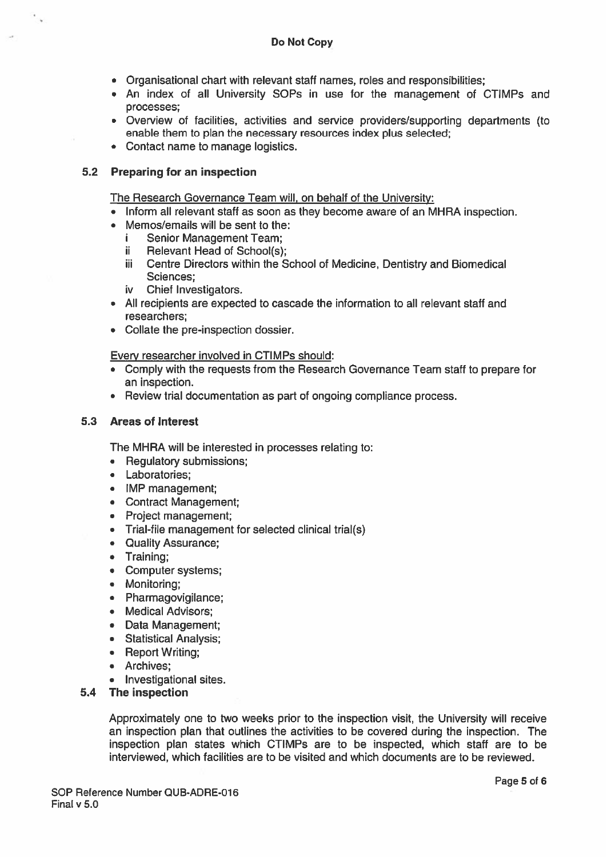- Organisational chart with relevant staff names, roles and responsibilities;
- An index of all University SOPs in use for the managemen<sup>t</sup> of CTIMPs and processes;
- Overview of facilities, activities and service providers/supporting departments (to enable them to plan the necessary resources index plus selected;
- Contact name to manage logistics.

### 5.2 Preparing for an inspection

The Research Governance Team will, on behalf of the University:

- Inform all relevant staff as soon as they become aware of an MHRA inspection.
- Memos/emails will be sent to the:
	- i Senior Management Team;
	- Relevant Head of School(s); ii.
	- üi Centre Directors within the School of Medicine, Dentistry and Biomedical Sciences;
	- iv Chief Investigators.
- All recipients are expected to cascade the information to all relevant staff and researchers;
- Collate the pre-inspection dossier.

Every researcher involved in CTIMPs should:

- Comply with the requests from the Research Governance Team staff to prepare for an inspection.
- Review trial documentation as par<sup>t</sup> of ongoing compliance process.

#### 5.3 Areas of Interest

The MHRA will be interested in processes relating to:

- Regulatory submissions;
- Laboratories;
- IMP management;
- Contract Management;
- Project management;
- Trial-file managemen<sup>t</sup> for selected clinical trial(s)
- Quality Assurance;
- Training;
- Computer systems;
- Monitoring;
- Pharmagovigilance;
- Medical Advisors;
- Data Management;
- Statistical Analysis;
- Report Writing;
- Archives;
- Investigational sites.

#### 5.4 The inspection

Approximately one to two weeks prior to the inspection visit, the University will receive an inspection plan that outlines the activities to be covered during the inspection. The inspection plan states which CTIMPs are to be inspected, which staff are to be interviewed, which facilities are to be visited and which documents are to be reviewed.